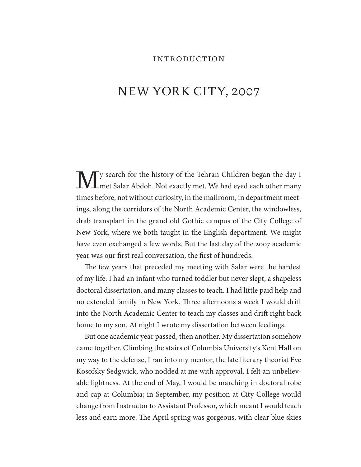## INTRODUCTION

# NEW YORK CITY, 2007

My search for the history of the Tehran Children began the day I met Salar Abdoh. Not exactly met. We had eyed each other many times before, not without curiosity, in the mailroom, in department meetings, along the corridors of the North Academic Center, the windowless, drab transplant in the grand old Gothic campus of the City College of New York, where we both taught in the English department. We might have even exchanged a few words. But the last day of the 2007 academic year was our first real conversation, the first of hundreds.

The few years that preceded my meeting with Salar were the hardest of my life. I had an infant who turned toddler but never slept, a shapeless doctoral dissertation, and many classes to teach. I had little paid help and no extended family in New York. Three afternoons a week I would drift into the North Academic Center to teach my classes and drift right back home to my son. At night I wrote my dissertation between feedings.

But one academic year passed, then another. My dissertation somehow came together. Climbing the stairs of Columbia University's Kent Hall on my way to the defense, I ran into my mentor, the late literary theorist Eve Kosofsky Sedgwick, who nodded at me with approval. I felt an unbelievable lightness. At the end of May, I would be marching in doctoral robe and cap at Columbia; in September, my position at City College would change from Instructor to Assistant Professor, which meant I would teach less and earn more. The April spring was gorgeous, with clear blue skies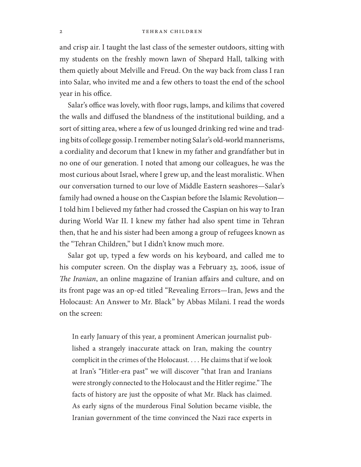#### 2 TEHRAN CHILDREN

and crisp air. I taught the last class of the semester outdoors, sitting with my students on the freshly mown lawn of Shepard Hall, talking with them quietly about Melville and Freud. On the way back from class I ran into Salar, who invited me and a few others to toast the end of the school year in his office.

Salar's office was lovely, with floor rugs, lamps, and kilims that covered the walls and diffused the blandness of the institutional building, and a sort of sitting area, where a few of us lounged drinking red wine and trading bits of college gossip. I remember noting Salar's old-world mannerisms, a cordiality and decorum that I knew in my father and grandfather but in no one of our generation. I noted that among our colleagues, he was the most curious about Israel, where I grew up, and the least moralistic. When our conversation turned to our love of Middle Eastern seashores—Salar's family had owned a house on the Caspian before the Islamic Revolution— I told him I believed my father had crossed the Caspian on his way to Iran during World War II. I knew my father had also spent time in Tehran then, that he and his sister had been among a group of refugees known as the "Tehran Children," but I didn't know much more.

Salar got up, typed a few words on his keyboard, and called me to his computer screen. On the display was a February 23, 2006, issue of *The Iranian*, an online magazine of Iranian affairs and culture, and on its front page was an op-ed titled "Revealing Errors—Iran, Jews and the Holocaust: An Answer to Mr. Black" by Abbas Milani. I read the words on the screen:

In early January of this year, a prominent American journalist published a strangely inaccurate attack on Iran, making the country complicit in the crimes of the Holocaust. . . . He claims that if we look at Iran's "Hitler-era past" we will discover "that Iran and Iranians were strongly connected to the Holocaust and the Hitler regime." The facts of history are just the opposite of what Mr. Black has claimed. As early signs of the murderous Final Solution became visible, the Iranian government of the time convinced the Nazi race experts in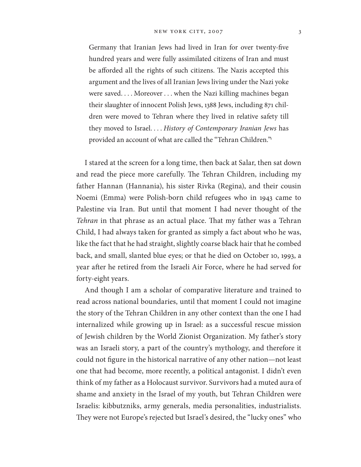### NEW YORK CITY, 2007 3

Germany that Iranian Jews had lived in Iran for over twenty-five hundred years and were fully assimilated citizens of Iran and must be afforded all the rights of such citizens. The Nazis accepted this argument and the lives of all Iranian Jews living under the Nazi yoke were saved. . . . Moreover . . . when the Nazi killing machines began their slaughter of innocent Polish Jews, 1388 Jews, including 871 children were moved to Tehran where they lived in relative safety till they moved to Israel. . . . *History of Contemporary Iranian Jews* has provided an account of what are called the "Tehran Children."<sup>1</sup>

I stared at the screen for a long time, then back at Salar, then sat down and read the piece more carefully. The Tehran Children, including my father Hannan (Hannania), his sister Rivka (Regina), and their cousin Noemi (Emma) were Polish-born child refugees who in 1943 came to Palestine via Iran. But until that moment I had never thought of the *Tehran* in that phrase as an actual place. That my father was a Tehran Child, I had always taken for granted as simply a fact about who he was, like the fact that he had straight, slightly coarse black hair that he combed back, and small, slanted blue eyes; or that he died on October 10, 1993, a year after he retired from the Israeli Air Force, where he had served for forty-eight years.

And though I am a scholar of comparative literature and trained to read across national boundaries, until that moment I could not imagine the story of the Tehran Children in any other context than the one I had internalized while growing up in Israel: as a successful rescue mission of Jewish children by the World Zionist Organization. My father's story was an Israeli story, a part of the country's mythology, and therefore it could not figure in the historical narrative of any other nation—not least one that had become, more recently, a political antagonist. I didn't even think of my father as a Holocaust survivor. Survivors had a muted aura of shame and anxiety in the Israel of my youth, but Tehran Children were Israelis: kibbutzniks, army generals, media personalities, industrialists. They were not Europe's rejected but Israel's desired, the "lucky ones" who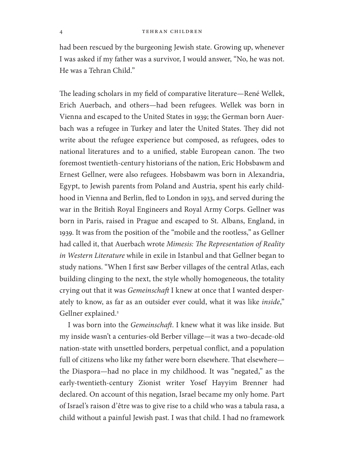had been rescued by the burgeoning Jewish state. Growing up, whenever I was asked if my father was a survivor, I would answer, "No, he was not. He was a Tehran Child."

The leading scholars in my field of comparative literature—René Wellek, Erich Auerbach, and others—had been refugees. Wellek was born in Vienna and escaped to the United States in 1939; the German born Auerbach was a refugee in Turkey and later the United States. They did not write about the refugee experience but composed, as refugees, odes to national literatures and to a unified, stable European canon. The two foremost twentieth-century historians of the nation, Eric Hobsbawm and Ernest Gellner, were also refugees. Hobsbawm was born in Alexandria, Egypt, to Jewish parents from Poland and Austria, spent his early childhood in Vienna and Berlin, fled to London in 1933, and served during the war in the British Royal Engineers and Royal Army Corps. Gellner was born in Paris, raised in Prague and escaped to St. Albans, England, in 1939. It was from the position of the "mobile and the rootless," as Gellner had called it, that Auerbach wrote *Mimesis: The Representation of Reality in Western Literature* while in exile in Istanbul and that Gellner began to study nations. "When I first saw Berber villages of the central Atlas, each building clinging to the next, the style wholly homogeneous, the totality crying out that it was *Gemeinschaft* I knew at once that I wanted desperately to know, as far as an outsider ever could, what it was like *inside*," Gellner explained.<sup>2</sup>

I was born into the *Gemeinschaft*. I knew what it was like inside. But my inside wasn't a centuries-old Berber village—it was a two-decade-old nation-state with unsettled borders, perpetual conflict, and a population full of citizens who like my father were born elsewhere. That elsewhere the Diaspora—had no place in my childhood. It was "negated," as the early-twentieth-century Zionist writer Yosef Hayyim Brenner had declared. On account of this negation, Israel became my only home. Part of Israel's raison d'être was to give rise to a child who was a tabula rasa, a child without a painful Jewish past. I was that child. I had no framework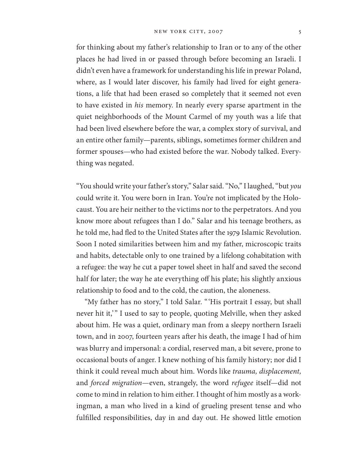#### NEW YORK CITY, 2007 5

for thinking about my father's relationship to Iran or to any of the other places he had lived in or passed through before becoming an Israeli. I didn't even have a framework for understanding his life in prewar Poland, where, as I would later discover, his family had lived for eight generations, a life that had been erased so completely that it seemed not even to have existed in *his* memory. In nearly every sparse apartment in the quiet neighborhoods of the Mount Carmel of my youth was a life that had been lived elsewhere before the war, a complex story of survival, and an entire other family—parents, siblings, sometimes former children and former spouses—who had existed before the war. Nobody talked. Everything was negated.

"You should write your father's story," Salar said. "No," I laughed, "but *you* could write it. You were born in Iran. You're not implicated by the Holocaust. You are heir neither to the victims nor to the perpetrators. And you know more about refugees than I do." Salar and his teenage brothers, as he told me, had fled to the United States after the 1979 Islamic Revolution. Soon I noted similarities between him and my father, microscopic traits and habits, detectable only to one trained by a lifelong cohabitation with a refugee: the way he cut a paper towel sheet in half and saved the second half for later; the way he ate everything off his plate; his slightly anxious relationship to food and to the cold, the caution, the aloneness.

"My father has no story," I told Salar. "'His portrait I essay, but shall never hit it," I used to say to people, quoting Melville, when they asked about him. He was a quiet, ordinary man from a sleepy northern Israeli town, and in 2007, fourteen years after his death, the image I had of him was blurry and impersonal: a cordial, reserved man, a bit severe, prone to occasional bouts of anger. I knew nothing of his family history; nor did I think it could reveal much about him. Words like *trauma, displacement,*  and *forced migration*—even, strangely, the word *refugee* itself—did not come to mind in relation to him either. I thought of him mostly as a workingman, a man who lived in a kind of grueling present tense and who ful filled responsibilities, day in and day out. He showed little emotion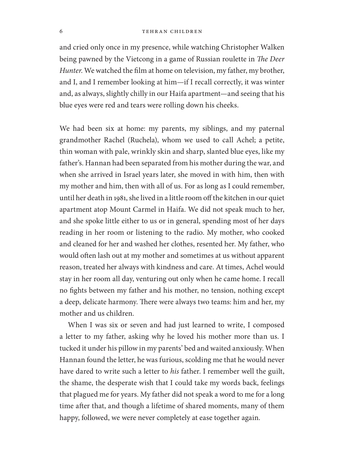#### 6 TEHRAN CHILDREN

and cried only once in my presence, while watching Christopher Walken being pawned by the Vietcong in a game of Russian roulette in The Deer *Hunter*. We watched the film at home on television, my father, my brother, and I, and I remember looking at him—if I recall correctly, it was winter and, as always, slightly chilly in our Haifa apartment—and seeing that his blue eyes were red and tears were rolling down his cheeks.

We had been six at home: my parents, my siblings, and my paternal grandmother Rachel (Ruchela), whom we used to call Achel; a petite, thin woman with pale, wrinkly skin and sharp, slanted blue eyes, like my father's. Hannan had been separated from his mother during the war, and when she arrived in Israel years later, she moved in with him, then with my mother and him, then with all of us. For as long as I could remember, until her death in 1981, she lived in a little room off the kitchen in our quiet apartment atop Mount Carmel in Haifa. We did not speak much to her, and she spoke little either to us or in general, spending most of her days reading in her room or listening to the radio. My mother, who cooked and cleaned for her and washed her clothes, resented her. My father, who would often lash out at my mother and sometimes at us without apparent reason, treated her always with kindness and care. At times, Achel would stay in her room all day, venturing out only when he came home. I recall no fights between my father and his mother, no tension, nothing except a deep, delicate harmony. There were always two teams: him and her, my mother and us children.

When I was six or seven and had just learned to write, I composed a letter to my father, asking why he loved his mother more than us. I tucked it under his pillow in my parents' bed and waited anxiously. When Hannan found the letter, he was furious, scolding me that he would never have dared to write such a letter to *his* father. I remember well the guilt, the shame, the desperate wish that I could take my words back, feelings that plagued me for years. My father did not speak a word to me for a long time after that, and though a lifetime of shared moments, many of them happy, followed, we were never completely at ease together again.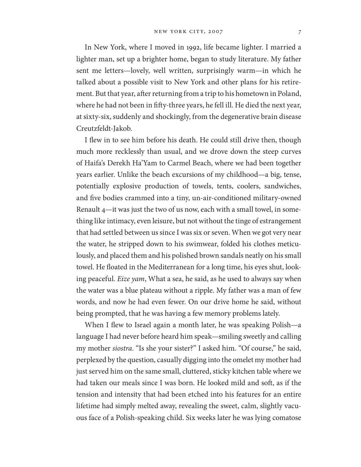#### NEW YORK CITY, 2007 7

In New York, where I moved in 1992, life became lighter. I married a lighter man, set up a brighter home, began to study literature. My father sent me letters—lovely, well written, surprisingly warm—in which he talked about a possible visit to New York and other plans for his retirement. But that year, after returning from a trip to his hometown in Poland, where he had not been in fifty-three years, he fell ill. He died the next year, at sixty-six, suddenly and shockingly, from the degenerative brain disease Creutzfeldt-Jakob.

I flew in to see him before his death. He could still drive then, though much more recklessly than usual, and we drove down the steep curves of Haifa's Derekh Ha'Yam to Carmel Beach, where we had been together years earlier. Unlike the beach excursions of my childhood—a big, tense, potentially explosive production of towels, tents, coolers, sandwiches, and five bodies crammed into a tiny, un-air-conditioned military-owned Renault 4—it was just the two of us now, each with a small towel, in something like intimacy, even leisure, but not without the tinge of estrangement that had settled between us since I was six or seven. When we got very near the water, he stripped down to his swimwear, folded his clothes meticulously, and placed them and his polished brown sandals neatly on his small towel. He floated in the Mediterranean for a long time, his eyes shut, looking peaceful. *Eize yam*, What a sea, he said, as he used to always say when the water was a blue plateau without a ripple. My father was a man of few words, and now he had even fewer. On our drive home he said, without being prompted, that he was having a few memory problems lately.

When I flew to Israel again a month later, he was speaking Polish—a language I had never before heard him speak—smiling sweetly and calling my mother *siostra*. "Is she your sister?" I asked him. "Of course," he said, perplexed by the question, casually digging into the omelet my mother had just served him on the same small, cluttered, sticky kitchen table where we had taken our meals since I was born. He looked mild and soft, as if the tension and intensity that had been etched into his features for an entire lifetime had simply melted away, revealing the sweet, calm, slightly vacuous face of a Polish-speaking child. Six weeks later he was lying comatose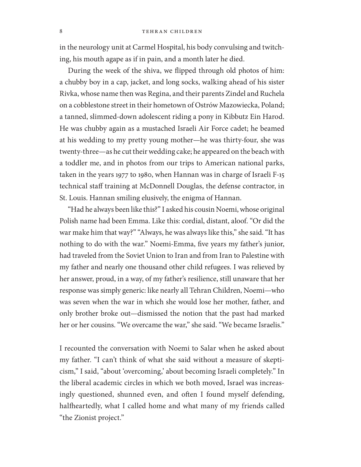in the neurology unit at Carmel Hospital, his body convulsing and twitching, his mouth agape as if in pain, and a month later he died.

During the week of the shiva, we flipped through old photos of him: a chubby boy in a cap, jacket, and long socks, walking ahead of his sister Rivka, whose name then was Regina, and their parents Zindel and Ruchela on a cobblestone street in their hometown of Ostrów Mazowiecka, Poland; a tanned, slimmed-down adolescent riding a pony in Kibbutz Ein Harod. He was chubby again as a mustached Israeli Air Force cadet; he beamed at his wedding to my pretty young mother—he was thirty-four, she was twenty-three—as he cut their wedding cake; he appeared on the beach with a toddler me, and in photos from our trips to American national parks, taken in the years 1977 to 1980, when Hannan was in charge of Israeli F-15 technical staff training at McDonnell Douglas, the defense contractor, in St. Louis. Hannan smiling elusively, the enigma of Hannan.

"Had he always been like this?" I asked his cousin Noemi, whose original Polish name had been Emma. Like this: cordial, distant, aloof. "Or did the war make him that way?" "Always, he was always like this," she said. "It has nothing to do with the war." Noemi-Emma, five years my father's junior, had traveled from the Soviet Union to Iran and from Iran to Palestine with my father and nearly one thousand other child refugees. I was relieved by her answer, proud, in a way, of my father's resilience, still unaware that her response was simply generic: like nearly all Tehran Children, Noemi—who was seven when the war in which she would lose her mother, father, and only brother broke out—dismissed the notion that the past had marked her or her cousins. "We overcame the war," she said. "We became Israelis."

I recounted the conversation with Noemi to Salar when he asked about my father. "I can't think of what she said without a measure of skepticism," I said, "about 'overcoming,' about becoming Israeli completely." In the liberal academic circles in which we both moved, Israel was increasingly questioned, shunned even, and often I found myself defending, halfheartedly, what I called home and what many of my friends called "the Zionist project."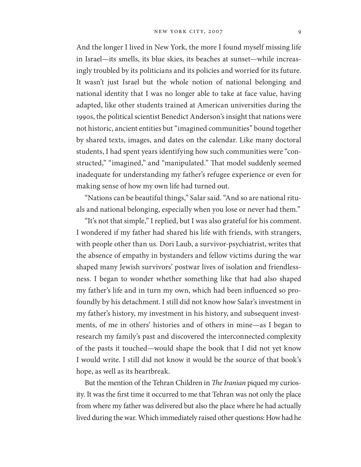And the longer I lived in New York, the more I found myself missing life in Israel—its smells, its blue skies, its beaches at sunset—while increasingly troubled by its politicians and its policies and worried for its future. It wasn't just Israel but the whole notion of national belonging and national identity that I was no longer able to take at face value, having adapted, like other students trained at American universities during the 1990s, the political scientist Benedict Anderson's insight that nations were not historic, ancient entities but "imagined communities" bound together by shared texts, images, and dates on the calendar. Like many doctoral students, I had spent years identifying how such communities were "constructed," "imagined," and "manipulated." That model suddenly seemed inadequate for understanding my father's refugee experience or even for making sense of how my own life had turned out.

"Nations can be beautiful things," Salar said. "And so are national rituals and national belonging, especially when you lose or never had them."

"It's not that simple," I replied, but I was also grateful for his comment. I wondered if my father had shared his life with friends, with strangers, with people other than us. Dori Laub, a survivor-psychiatrist, writes that the absence of empathy in bystanders and fellow victims during the war shaped many Jewish survivors' postwar lives of isolation and friendlessness. I began to wonder whether something like that had also shaped my father's life and in turn my own, which had been influenced so profoundly by his detachment. I still did not know how Salar's investment in my father's history, my investment in his history, and subsequent investments, of me in others' histories and of others in mine—as I began to research my family's past and discovered the interconnected complexity of the pasts it touched—would shape the book that I did not yet know I would write. I still did not know it would be the source of that book's hope, as well as its heartbreak.

But the mention of the Tehran Children in *The Iranian* piqued my curiosity. It was the first time it occurred to me that Tehran was not only the place from where my father was delivered but also the place where he had actually lived during the war. Which immediately raised other questions: How had he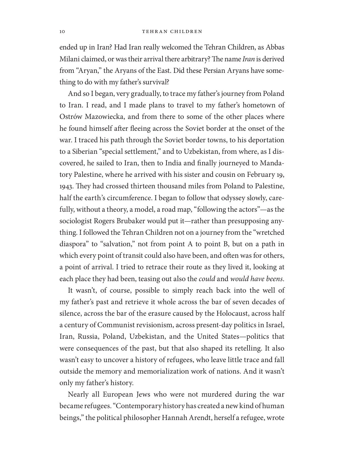#### 10 TEHRAN CHILDREN

ended up in Iran? Had Iran really welcomed the Tehran Children, as Abbas Milani claimed, or was their arrival there arbitrary? The name *Iran* is derived from "Aryan," the Aryans of the East. Did these Persian Aryans have something to do with my father's survival?

And so I began, very gradually, to trace my father's journey from Poland to Iran. I read, and I made plans to travel to my father's hometown of Ostrów Mazowiecka, and from there to some of the other places where he found himself after fleeing across the Soviet border at the onset of the war. I traced his path through the Soviet border towns, to his deportation to a Siberian "special settlement," and to Uzbekistan, from where, as I discovered, he sailed to Iran, then to India and finally journeyed to Mandatory Palestine, where he arrived with his sister and cousin on February 19, 1943. They had crossed thirteen thousand miles from Poland to Palestine, half the earth's circumference. I began to follow that odyssey slowly, carefully, without a theory, a model, a road map, "following the actors"—as the sociologist Rogers Brubaker would put it—rather than presupposing anything. I followed the Tehran Children not on a journey from the "wretched diaspora" to "salvation," not from point A to point B, but on a path in which every point of transit could also have been, and often was for others, a point of arrival. I tried to retrace their route as they lived it, looking at each place they had been, teasing out also the *could* and *would have beens*.

It wasn't, of course, possible to simply reach back into the well of my father's past and retrieve it whole across the bar of seven decades of silence, across the bar of the erasure caused by the Holocaust, across half a century of Communist revisionism, across present-day politics in Israel, Iran, Russia, Poland, Uzbekistan, and the United States—politics that were consequences of the past, but that also shaped its retelling. It also wasn't easy to uncover a history of refugees, who leave little trace and fall outside the memory and memorialization work of nations. And it wasn't only my father's history.

Nearly all European Jews who were not murdered during the war became refugees. "Contemporary history has created a new kind of human beings," the political philosopher Hannah Arendt, herself a refugee, wrote